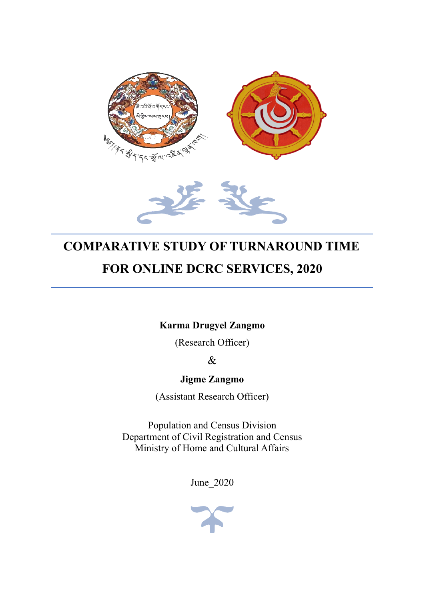

# **COMPARATIVE STUDY OF TURNAROUND TIME FOR ONLINE DCRC SERVICES, 2020**

**Karma Drugyel Zangmo**

(Research Officer)

&

**Jigme Zangmo**

(Assistant Research Officer)

Population and Census Division Department of Civil Registration and Census Ministry of Home and Cultural Affairs

June\_2020

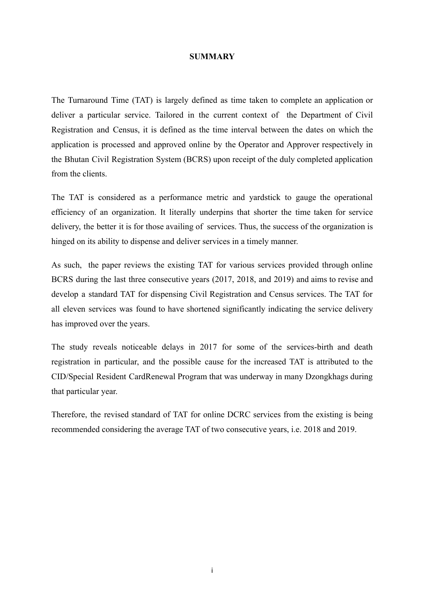#### **SUMMARY**

The Turnaround Time (TAT) is largely defined as time taken to complete an application or deliver a particular service. Tailored in the current context of the Department of Civil Registration and Census, it is defined as the time interval between the dates on which the application is processed and approved online by the Operator and Approver respectively in the Bhutan Civil Registration System (BCRS) upon receipt of the duly completed application from the clients.

The TAT is considered as a performance metric and yardstick to gauge the operational efficiency of an organization. It literally underpins that shorter the time taken for service delivery, the better it is for those availing of services. Thus, the success of the organization is hinged on its ability to dispense and deliver services in a timely manner.

As such, the paper reviews the existing TAT for various services provided through online BCRS during the last three consecutive years (2017, 2018, and 2019) and aims to revise and develop a standard TAT for dispensing Civil Registration and Census services. The TAT for all eleven services was found to have shortened significantly indicating the service delivery has improved over the years.

The study reveals noticeable delays in 2017 for some of the services-birth and death registration in particular, and the possible cause for the increased TAT is attributed to the CID/Special Resident CardRenewal Program that was underway in many Dzongkhags during that particular year.

Therefore, the revised standard of TAT for online DCRC services from the existing is being recommended considering the average TAT of two consecutive years, i.e. 2018 and 2019.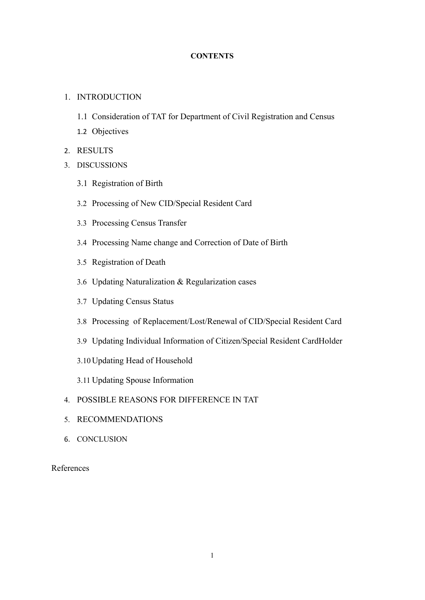# **CONTENTS**

# 1. INTRODUCTION

- 1.1 Consideration of TAT for Department of Civil Registration and Census
- 1.2 Objectives
- 2. RESULTS
- 3. DISCUSSIONS
	- 3.1 Registration of Birth
	- 3.2 Processing of New CID/Special Resident Card
	- 3.3 Processing Census Transfer
	- 3.4 Processing Name change and Correction of Date of Birth
	- 3.5 Registration of Death
	- 3.6 Updating Naturalization & Regularization cases
	- 3.7 Updating Census Status
	- 3.8 Processing of Replacement/Lost/Renewal of CID/Special Resident Card
	- 3.9 Updating Individual Information of Citizen/Special Resident CardHolder
	- 3.10 Updating Head of Household
	- 3.11 Updating Spouse Information
- 4. POSSIBLE REASONS FOR DIFFERENCE IN TAT
- 5. RECOMMENDATIONS
- 6. CONCLUSION

References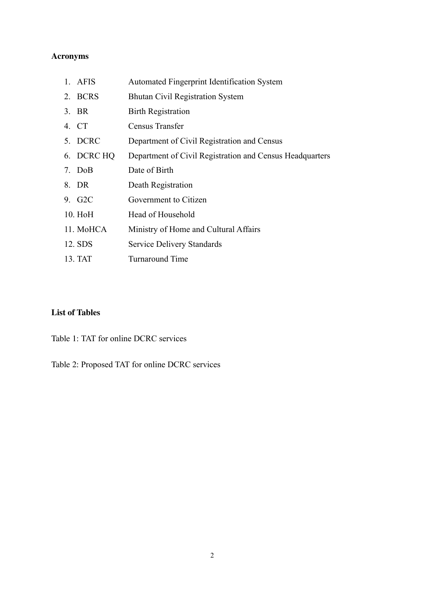# **Acronyms**

| 1. AFIS             | Automated Fingerprint Identification System              |
|---------------------|----------------------------------------------------------|
| 2. BCRS             | <b>Bhutan Civil Registration System</b>                  |
| 3. BR               | <b>Birth Registration</b>                                |
| 4. CT               | Census Transfer                                          |
| 5. DCRC             | Department of Civil Registration and Census              |
| 6. DCRC HQ          | Department of Civil Registration and Census Headquarters |
| 7. DoB              | Date of Birth                                            |
| 8. DR               | Death Registration                                       |
| 9. G <sub>2</sub> C | Government to Citizen                                    |
| 10. HoH             | Head of Household                                        |
| 11. MoHCA           | Ministry of Home and Cultural Affairs                    |
| 12. SDS             | <b>Service Delivery Standards</b>                        |
| 13. TAT             | <b>Turnaround Time</b>                                   |

# **List of Tables**

Table 1: TAT for online DCRC services

Table 2: Proposed TAT for online DCRC services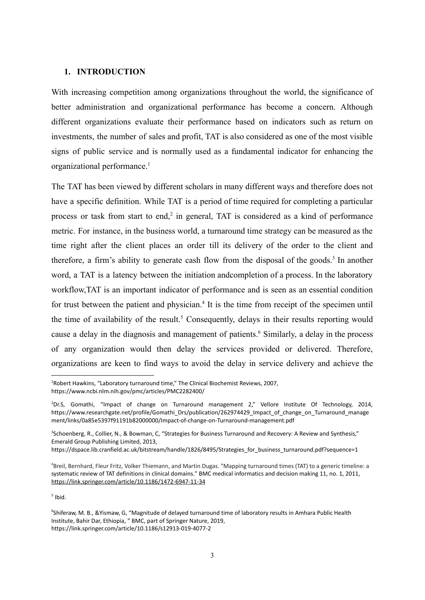#### **1. INTRODUCTION**

With increasing competition among organizations throughout the world, the significance of better administration and organizational performance has become a concern. Although different organizations evaluate their performance based on indicators such as return on investments, the number of sales and profit, TAT is also considered as one of the most visible signs of public service and is normally used as a fundamental indicator for enhancing the organizational performance.<sup>1</sup>

The TAT has been viewed by different scholars in many different ways and therefore does not have a specific definition. While TAT is a period of time required for completing a particular process or task from start to end,<sup>2</sup> in general, TAT is considered as a kind of performance metric. For instance, in the business world, a turnaround time strategy can be measured as the time right after the client places an order till its delivery of the order to the client and therefore, a firm's ability to generate cash flow from the disposal of the goods.<sup>3</sup> In another word, a TAT is a latency between the initiation andcompletion of a process. In the laboratory workflow,TAT is an important indicator of performance and is seen as an essential condition for trust between the patient and physician.<sup>4</sup> It is the time from receipt of the specimen until the time of availability of the result.<sup>5</sup> Consequently, delays in their results reporting would cause a delay in the diagnosis and management of patients.<sup>6</sup> Similarly, a delay in the process of any organization would then delay the services provided or delivered. Therefore, organizations are keen to find ways to avoid the delay in service delivery and achieve the

 $<sup>5</sup>$  Ibid.</sup>

<sup>1</sup>Robert Hawkins, "Laboratory turnaround time," The Clinical Biochemist Reviews, 2007, https://www.ncbi.nlm.nih.gov/pmc/articles/PMC2282400/

<sup>&</sup>lt;sup>2</sup>Dr.S, Gomathi, "Impact of change on Turnaround management 2," Vellore Institute Of Technology, 2014, https://www.researchgate.net/profile/Gomathi\_Drs/publication/262974429\_Impact\_of\_change\_on\_Turnaround\_manage ment/links/0a85e5397f91191b82000000/Impact-of-change-on-Turnaround-management.pdf

<sup>&</sup>lt;sup>3</sup>Schoenberg, R., Collier, N., & Bowman, C. "Strategies for Business Turnaround and Recovery: A Review and Synthesis," Emerald Group Publishing Limited, 2013,

https://dspace.lib.cranfield.ac.uk/bitstream/handle/1826/8495/Strategies\_for\_business\_turnaround.pdf?sequence=1

<sup>4</sup>Breil, Bernhard, Fleur Fritz, Volker Thiemann, and Martin Dugas. "Mapping turnaround times (TAT) to a generic timeline: a systematic review of TAT definitions in clinical domains." BMC medical informatics and decision making 11, no. 1, 2011, <https://link.springer.com/article/10.1186/1472-6947-11-34>

<sup>6</sup>Shiferaw, M. B., &Yismaw, G, "Magnitude of delayed turnaround time of laboratory results in Amhara Public Health Institute, Bahir Dar, Ethiopia, " BMC, part of Springer Nature, 2019, https://link.springer.com/article/10.1186/s12913-019-4077-2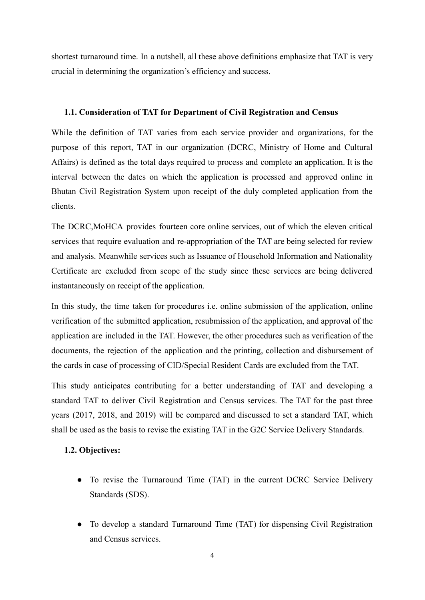shortest turnaround time. In a nutshell, all these above definitions emphasize that TAT is very crucial in determining the organization's efficiency and success.

#### **1.1. Consideration of TAT for Department of Civil Registration and Census**

While the definition of TAT varies from each service provider and organizations, for the purpose of this report, TAT in our organization (DCRC, Ministry of Home and Cultural Affairs) is defined as the total days required to process and complete an application. It is the interval between the dates on which the application is processed and approved online in Bhutan Civil Registration System upon receipt of the duly completed application from the clients.

The DCRC,MoHCA provides fourteen core online services, out of which the eleven critical services that require evaluation and re-appropriation of the TAT are being selected for review and analysis. Meanwhile services such as Issuance of Household Information and Nationality Certificate are excluded from scope of the study since these services are being delivered instantaneously on receipt of the application.

In this study, the time taken for procedures i.e. online submission of the application, online verification of the submitted application, resubmission of the application, and approval of the application are included in the TAT. However, the other procedures such as verification of the documents, the rejection of the application and the printing, collection and disbursement of the cards in case of processing of CID/Special Resident Cards are excluded from the TAT.

This study anticipates contributing for a better understanding of TAT and developing a standard TAT to deliver Civil Registration and Census services. The TAT for the past three years (2017, 2018, and 2019) will be compared and discussed to set a standard TAT, which shall be used as the basis to revise the existing TAT in the G2C Service Delivery Standards.

# **1.2. Objectives:**

- To revise the Turnaround Time (TAT) in the current DCRC Service Delivery Standards (SDS).
- **●** To develop a standard Turnaround Time (TAT) for dispensing Civil Registration and Census services.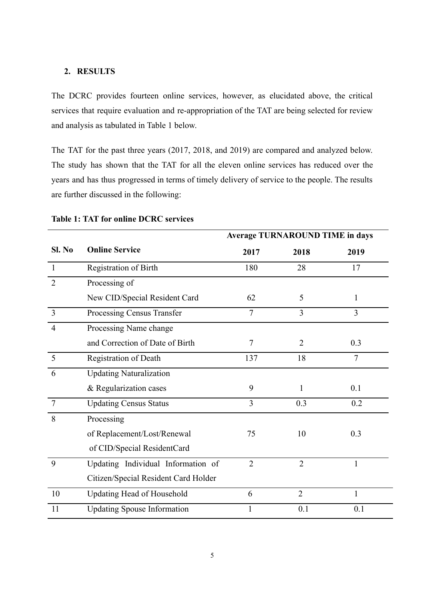## **2. RESULTS**

The DCRC provides fourteen online services, however, as elucidated above, the critical services that require evaluation and re-appropriation of the TAT are being selected for review and analysis as tabulated in Table 1 below.

The TAT for the past three years (2017, 2018, and 2019) are compared and analyzed below. The study has shown that the TAT for all the eleven online services has reduced over the years and has thus progressed in terms of timely delivery of service to the people. The results are further discussed in the following:

|                |                                      | <b>Average TURNAROUND TIME in days</b> |                |                |
|----------------|--------------------------------------|----------------------------------------|----------------|----------------|
| SI. No         | <b>Online Service</b>                | 2017                                   | 2018           | 2019           |
| $\mathbf{1}$   | Registration of Birth                | 180                                    | 28             | 17             |
| $\overline{2}$ | Processing of                        |                                        |                |                |
|                | New CID/Special Resident Card        | 62                                     | 5              | 1              |
| $\overline{3}$ | Processing Census Transfer           | $\overline{7}$                         | 3              | 3              |
| $\overline{4}$ | Processing Name change               |                                        |                |                |
|                | and Correction of Date of Birth      | 7                                      | 2              | 0.3            |
| 5              | <b>Registration of Death</b>         | 137                                    | 18             | $\overline{7}$ |
| 6              | <b>Updating Naturalization</b>       |                                        |                |                |
|                | & Regularization cases               | 9                                      | 1              | 0.1            |
| $\overline{7}$ | <b>Updating Census Status</b>        | 3                                      | 0.3            | 0.2            |
| 8              | Processing                           |                                        |                |                |
|                | of Replacement/Lost/Renewal          | 75                                     | 10             | 0.3            |
|                | of CID/Special ResidentCard          |                                        |                |                |
| 9              | Updating Individual Information of   | $\overline{2}$                         | $\overline{2}$ | $\mathbf{1}$   |
|                | Citizen/Special Resident Card Holder |                                        |                |                |
| 10             | <b>Updating Head of Household</b>    | 6                                      | $\overline{2}$ | $\mathbf{1}$   |
| 11             | <b>Updating Spouse Information</b>   | 1                                      | 0.1            | 0.1            |

#### **Table 1: TAT for online DCRC services**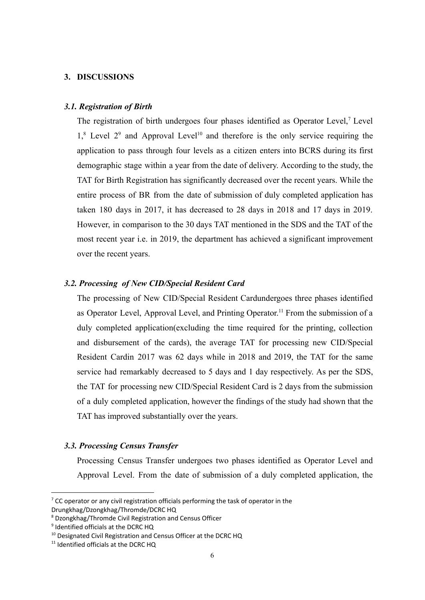# **3. DISCUSSIONS**

#### *3.1. Registration of Birth*

The registration of birth undergoes four phases identified as Operator Level,<sup>7</sup> Level  $1$ ,<sup>8</sup> Level  $2<sup>9</sup>$  and Approval Level<sup>10</sup> and therefore is the only service requiring the application to pass through four levels as a citizen enters into BCRS during its first demographic stage within a year from the date of delivery. According to the study, the TAT for Birth Registration has significantly decreased over the recent years. While the entire process of BR from the date of submission of duly completed application has taken 180 days in 2017, it has decreased to 28 days in 2018 and 17 days in 2019. However, in comparison to the 30 days TAT mentioned in the SDS and the TAT of the most recent year i.e. in 2019, the department has achieved a significant improvement over the recent years.

### *3.2. Processing of New CID/Special Resident Card*

The processing of New CID/Special Resident Cardundergoes three phases identified as Operator Level, Approval Level, and Printing Operator. <sup>11</sup> From the submission of a duly completed application(excluding the time required for the printing, collection and disbursement of the cards), the average TAT for processing new CID/Special Resident Cardin 2017 was 62 days while in 2018 and 2019, the TAT for the same service had remarkably decreased to 5 days and 1 day respectively. As per the SDS, the TAT for processing new CID/Special Resident Card is 2 days from the submission of a duly completed application, however the findings of the study had shown that the TAT has improved substantially over the years.

#### *3.3. Processing Census Transfer*

Processing Census Transfer undergoes two phases identified as Operator Level and Approval Level. From the date of submission of a duly completed application, the

Drungkhag/Dzongkhag/Thromde/DCRC HQ

 $7$  CC operator or any civil registration officials performing the task of operator in the

<sup>8</sup> Dzongkhag/Thromde Civil Registration and Census Officer

<sup>&</sup>lt;sup>9</sup> Identified officials at the DCRC HQ

<sup>&</sup>lt;sup>10</sup> Designated Civil Registration and Census Officer at the DCRC HQ

<sup>&</sup>lt;sup>11</sup> Identified officials at the DCRC HO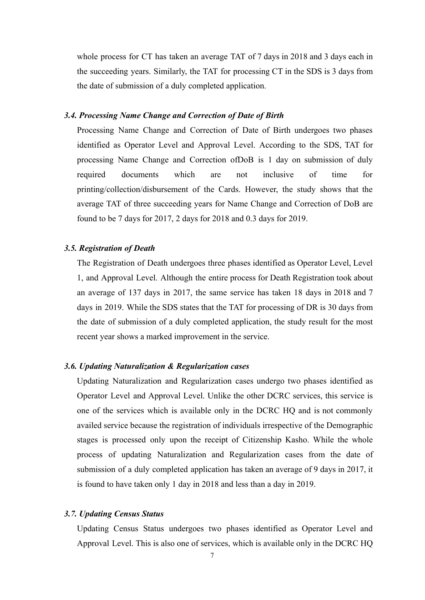whole process for CT has taken an average TAT of 7 days in 2018 and 3 days each in the succeeding years. Similarly, the TAT for processing CT in the SDS is 3 days from the date of submission of a duly completed application.

#### *3.4. Processing Name Change and Correction of Date of Birth*

Processing Name Change and Correction of Date of Birth undergoes two phases identified as Operator Level and Approval Level. According to the SDS, TAT for processing Name Change and Correction ofDoB is 1 day on submission of duly required documents which are not inclusive of time for printing/collection/disbursement of the Cards. However, the study shows that the average TAT of three succeeding years for Name Change and Correction of DoB are found to be 7 days for 2017, 2 days for 2018 and 0.3 days for 2019.

## *3.5. Registration of Death*

The Registration of Death undergoes three phases identified as Operator Level, Level 1, and Approval Level. Although the entire process for Death Registration took about an average of 137 days in 2017, the same service has taken 18 days in 2018 and 7 days in 2019. While the SDS states that the TAT for processing of DR is 30 days from the date of submission of a duly completed application, the study result for the most recent year shows a marked improvement in the service.

# *3.6. Updating Naturalization & Regularization cases*

Updating Naturalization and Regularization cases undergo two phases identified as Operator Level and Approval Level. Unlike the other DCRC services, this service is one of the services which is available only in the DCRC HQ and is not commonly availed service because the registration of individuals irrespective of the Demographic stages is processed only upon the receipt of Citizenship Kasho. While the whole process of updating Naturalization and Regularization cases from the date of submission of a duly completed application has taken an average of 9 days in 2017, it is found to have taken only 1 day in 2018 and less than a day in 2019.

#### *3.7. Updating Census Status*

Updating Census Status undergoes two phases identified as Operator Level and Approval Level. This is also one of services, which is available only in the DCRC HQ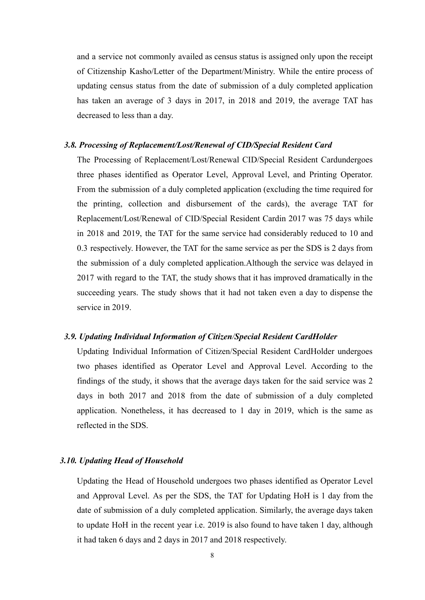and a service not commonly availed as census status is assigned only upon the receipt of Citizenship Kasho/Letter of the Department/Ministry. While the entire process of updating census status from the date of submission of a duly completed application has taken an average of 3 days in 2017, in 2018 and 2019, the average TAT has decreased to less than a day.

# *3.8. Processing of Replacement/Lost/Renewal of CID/Special Resident Card*

The Processing of Replacement/Lost/Renewal CID/Special Resident Cardundergoes three phases identified as Operator Level, Approval Level, and Printing Operator. From the submission of a duly completed application (excluding the time required for the printing, collection and disbursement of the cards), the average TAT for Replacement/Lost/Renewal of CID/Special Resident Cardin 2017 was 75 days while in 2018 and 2019, the TAT for the same service had considerably reduced to 10 and 0.3 respectively. However, the TAT for the same service as per the SDS is 2 days from the submission of a duly completed application.Although the service was delayed in 2017 with regard to the TAT, the study shows that it has improved dramatically in the succeeding years. The study shows that it had not taken even a day to dispense the service in 2019.

#### *3.9. Updating Individual Information of Citizen/Special Resident CardHolder*

Updating Individual Information of Citizen/Special Resident CardHolder undergoes two phases identified as Operator Level and Approval Level. According to the findings of the study, it shows that the average days taken for the said service was 2 days in both 2017 and 2018 from the date of submission of a duly completed application. Nonetheless, it has decreased to 1 day in 2019, which is the same as reflected in the SDS.

# *3.10. Updating Head of Household*

Updating the Head of Household undergoes two phases identified as Operator Level and Approval Level. As per the SDS, the TAT for Updating HoH is 1 day from the date of submission of a duly completed application. Similarly, the average days taken to update HoH in the recent year i.e. 2019 is also found to have taken 1 day, although it had taken 6 days and 2 days in 2017 and 2018 respectively.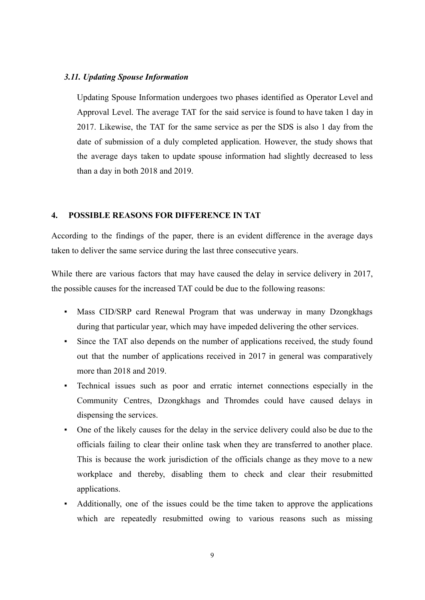#### *3.11. Updating Spouse Information*

Updating Spouse Information undergoes two phases identified as Operator Level and Approval Level. The average TAT for the said service is found to have taken 1 day in 2017. Likewise, the TAT for the same service as per the SDS is also 1 day from the date of submission of a duly completed application. However, the study shows that the average days taken to update spouse information had slightly decreased to less than a day in both 2018 and 2019.

# **4. POSSIBLE REASONS FOR DIFFERENCE IN TAT**

According to the findings of the paper, there is an evident difference in the average days taken to deliver the same service during the last three consecutive years.

While there are various factors that may have caused the delay in service delivery in 2017, the possible causes for the increased TAT could be due to the following reasons:

- Mass CID/SRP card Renewal Program that was underway in many Dzongkhags during that particular year, which may have impeded delivering the other services.
- Since the TAT also depends on the number of applications received, the study found out that the number of applications received in 2017 in general was comparatively more than 2018 and 2019.
- Technical issues such as poor and erratic internet connections especially in the Community Centres, Dzongkhags and Thromdes could have caused delays in dispensing the services.
- One of the likely causes for the delay in the service delivery could also be due to the officials failing to clear their online task when they are transferred to another place. This is because the work jurisdiction of the officials change as they move to a new workplace and thereby, disabling them to check and clear their resubmitted applications.
- Additionally, one of the issues could be the time taken to approve the applications which are repeatedly resubmitted owing to various reasons such as missing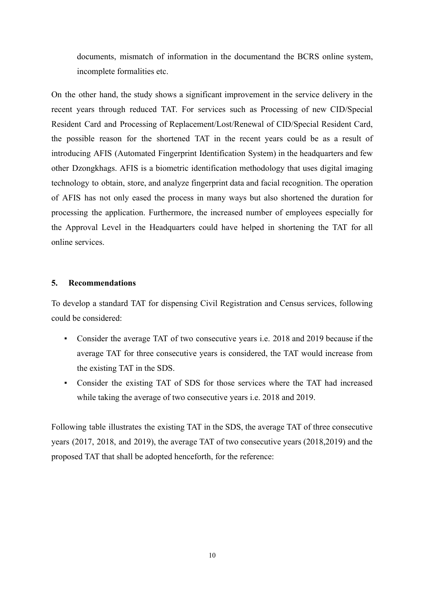documents, mismatch of information in the documentand the BCRS online system, incomplete formalities etc.

On the other hand, the study shows a significant improvement in the service delivery in the recent years through reduced TAT. For services such as Processing of new CID/Special Resident Card and Processing of Replacement/Lost/Renewal of CID/Special Resident Card, the possible reason for the shortened TAT in the recent years could be as a result of introducing AFIS (Automated Fingerprint Identification System) in the headquarters and few other Dzongkhags. AFIS is a biometric identification methodology that uses digital imaging technology to obtain, store, and analyze fingerprint data and facial recognition. The operation of AFIS has not only eased the process in many ways but also shortened the duration for processing the application. Furthermore, the increased number of employees especially for the Approval Level in the Headquarters could have helped in shortening the TAT for all online services.

## **5. Recommendations**

To develop a standard TAT for dispensing Civil Registration and Census services, following could be considered:

- Consider the average TAT of two consecutive years i.e. 2018 and 2019 because if the average TAT for three consecutive years is considered, the TAT would increase from the existing TAT in the SDS.
- Consider the existing TAT of SDS for those services where the TAT had increased while taking the average of two consecutive years i.e. 2018 and 2019.

Following table illustrates the existing TAT in the SDS, the average TAT of three consecutive years (2017, 2018, and 2019), the average TAT of two consecutive years (2018,2019) and the proposed TAT that shall be adopted henceforth, for the reference: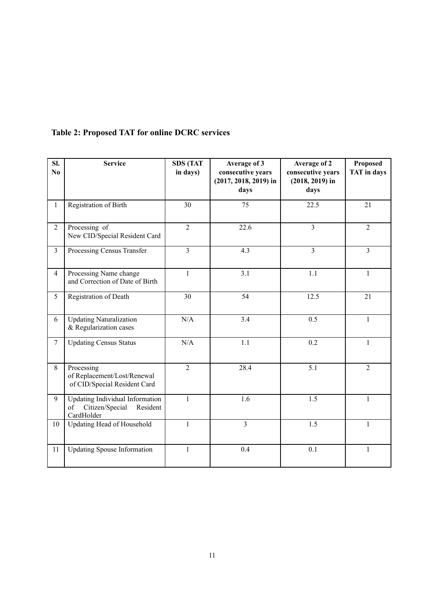| SI.<br>N <sub>0</sub> | <b>Service</b>                                                                            | <b>SDS (TAT</b><br>in days) | Average of 3<br>consecutive years<br>$(2017, 2018, 2019)$ in<br>days | Average of 2<br>consecutive years<br>$(2018, 2019)$ in<br>days | Proposed<br><b>TAT</b> in days |
|-----------------------|-------------------------------------------------------------------------------------------|-----------------------------|----------------------------------------------------------------------|----------------------------------------------------------------|--------------------------------|
| $\mathbf{1}$          | Registration of Birth                                                                     | 30                          | 75                                                                   | 22.5                                                           | 21                             |
| $\overline{2}$        | Processing of<br>New CID/Special Resident Card                                            | $\overline{2}$              | 22.6                                                                 | $\overline{3}$                                                 | $\overline{2}$                 |
| $\overline{3}$        | Processing Census Transfer                                                                | $\overline{3}$              | 4.3                                                                  | $\overline{3}$                                                 | $\overline{3}$                 |
| $\overline{4}$        | Processing Name change<br>and Correction of Date of Birth                                 | $\mathbf{1}$                | 3.1                                                                  | 1.1                                                            | $\mathbf{1}$                   |
| 5                     | Registration of Death                                                                     | 30                          | 54                                                                   | 12.5                                                           | 21                             |
| 6                     | <b>Updating Naturalization</b><br>& Regularization cases                                  | N/A                         | 3.4                                                                  | 0.5                                                            | $\mathbf{1}$                   |
| $7\overline{ }$       | <b>Updating Census Status</b>                                                             | N/A                         | 1.1                                                                  | 0.2                                                            | $\mathbf{1}$                   |
| 8                     | Processing<br>of Replacement/Lost/Renewal<br>of CID/Special Resident Card                 | $\overline{2}$              | 28.4                                                                 | $\overline{5.1}$                                               | $\overline{2}$                 |
| 9                     | <b>Updating Individual Information</b><br>Citizen/Special<br>Resident<br>of<br>CardHolder | $\mathbf{1}$                | 1.6                                                                  | 1.5                                                            | $\mathbf{1}$                   |
| 10                    | Updating Head of Household                                                                | $\mathbf{1}$                | $\overline{3}$                                                       | 1.5                                                            | $\mathbf{1}$                   |
| 11                    | <b>Updating Spouse Information</b>                                                        | $\mathbf{1}$                | 0.4                                                                  | 0.1                                                            | $\mathbf{1}$                   |

# **Table 2: Proposed TAT for online DCRC services**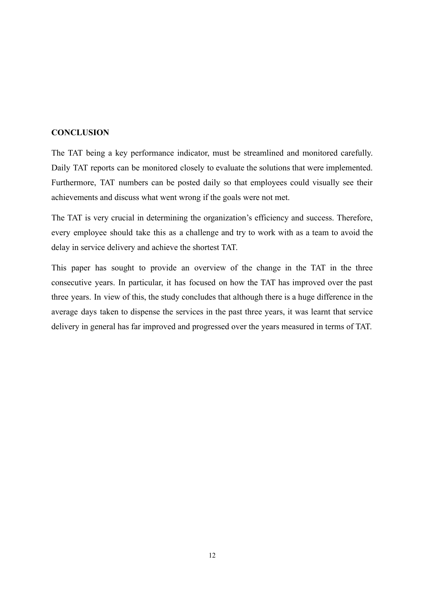# **CONCLUSION**

The TAT being a key performance indicator, must be streamlined and monitored carefully. Daily TAT reports can be monitored closely to evaluate the solutions that were implemented. Furthermore, TAT numbers can be posted daily so that employees could visually see their achievements and discuss what went wrong if the goals were not met.

The TAT is very crucial in determining the organization's efficiency and success. Therefore, every employee should take this as a challenge and try to work with as a team to avoid the delay in service delivery and achieve the shortest TAT.

This paper has sought to provide an overview of the change in the TAT in the three consecutive years. In particular, it has focused on how the TAT has improved over the past three years. In view of this, the study concludes that although there is a huge difference in the average days taken to dispense the services in the past three years, it was learnt that service delivery in general has far improved and progressed over the years measured in terms of TAT.